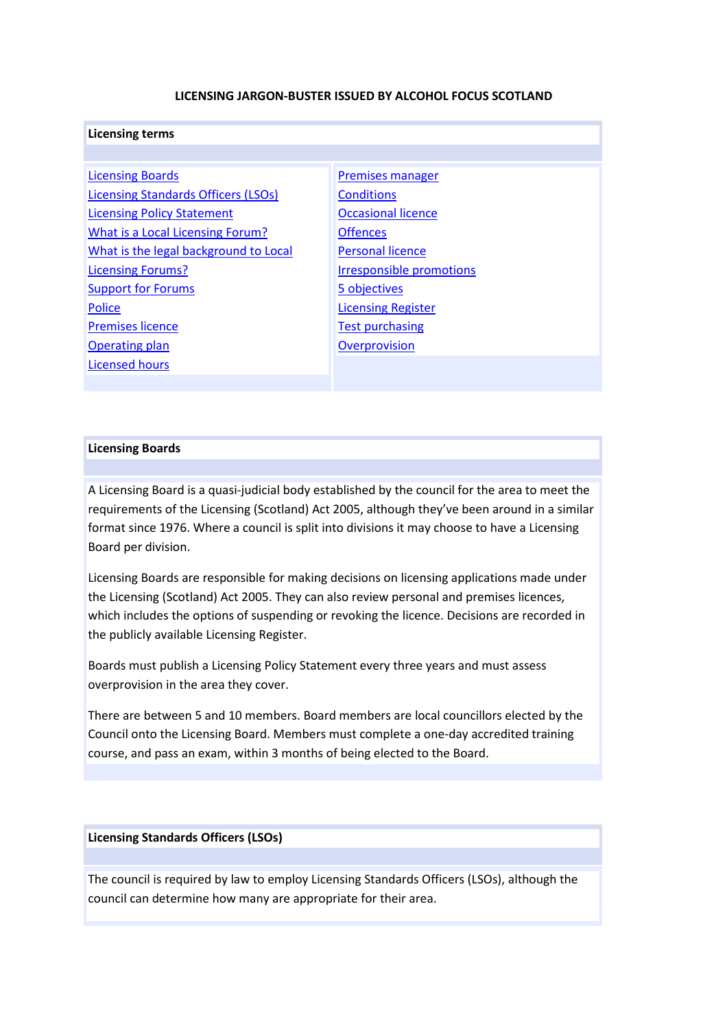#### LICENSING JARGON-BUSTER ISSUED BY ALCOHOL FOCUS SCOTLAND

| <b>Licensing terms</b>                     |                           |
|--------------------------------------------|---------------------------|
|                                            |                           |
| <b>Licensing Boards</b>                    | <b>Premises manager</b>   |
| <b>Licensing Standards Officers (LSOs)</b> | <b>Conditions</b>         |
| <b>Licensing Policy Statement</b>          | <b>Occasional licence</b> |
| What is a Local Licensing Forum?           | <b>Offences</b>           |
| What is the legal background to Local      | <b>Personal licence</b>   |
| <b>Licensing Forums?</b>                   | Irresponsible promotions  |
| <b>Support for Forums</b>                  | 5 objectives              |
| <b>Police</b>                              | <b>Licensing Register</b> |
| <b>Premises licence</b>                    | <b>Test purchasing</b>    |
| <b>Operating plan</b>                      | Overprovision             |
| Licensed hours                             |                           |

#### Licensing Boards

A Licensing Board is a quasi-judicial body established by the council for the area to meet the requirements of the Licensing (Scotland) Act 2005, although they've been around in a similar format since 1976. Where a council is split into divisions it may choose to have a Licensing Board per division.

Licensing Boards are responsible for making decisions on licensing applications made under the Licensing (Scotland) Act 2005. They can also review personal and premises licences, which includes the options of suspending or revoking the licence. Decisions are recorded in the publicly available Licensing Register.

Boards must publish a Licensing Policy Statement every three years and must assess overprovision in the area they cover.

There are between 5 and 10 members. Board members are local councillors elected by the Council onto the Licensing Board. Members must complete a one-day accredited training course, and pass an exam, within 3 months of being elected to the Board.

# Licensing Standards Officers (LSOs)

The council is required by law to employ Licensing Standards Officers (LSOs), although the council can determine how many are appropriate for their area.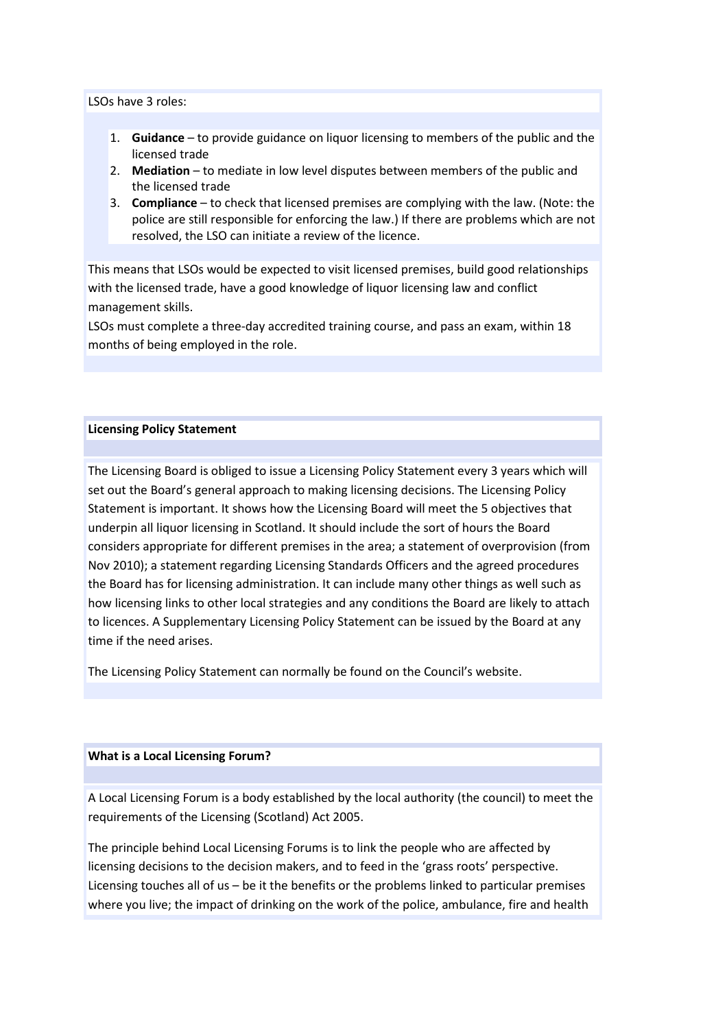### LSOs have 3 roles:

- 1. Guidance to provide guidance on liquor licensing to members of the public and the licensed trade
- 2. Mediation to mediate in low level disputes between members of the public and the licensed trade
- 3. Compliance to check that licensed premises are complying with the law. (Note: the police are still responsible for enforcing the law.) If there are problems which are not resolved, the LSO can initiate a review of the licence.

This means that LSOs would be expected to visit licensed premises, build good relationships with the licensed trade, have a good knowledge of liquor licensing law and conflict management skills.

LSOs must complete a three-day accredited training course, and pass an exam, within 18 months of being employed in the role.

#### Licensing Policy Statement

The Licensing Board is obliged to issue a Licensing Policy Statement every 3 years which will set out the Board's general approach to making licensing decisions. The Licensing Policy Statement is important. It shows how the Licensing Board will meet the 5 objectives that underpin all liquor licensing in Scotland. It should include the sort of hours the Board considers appropriate for different premises in the area; a statement of overprovision (from Nov 2010); a statement regarding Licensing Standards Officers and the agreed procedures the Board has for licensing administration. It can include many other things as well such as how licensing links to other local strategies and any conditions the Board are likely to attach to licences. A Supplementary Licensing Policy Statement can be issued by the Board at any time if the need arises.

The Licensing Policy Statement can normally be found on the Council's website.

#### What is a Local Licensing Forum?

A Local Licensing Forum is a body established by the local authority (the council) to meet the requirements of the Licensing (Scotland) Act 2005.

The principle behind Local Licensing Forums is to link the people who are affected by licensing decisions to the decision makers, and to feed in the 'grass roots' perspective. Licensing touches all of us – be it the benefits or the problems linked to particular premises where you live; the impact of drinking on the work of the police, ambulance, fire and health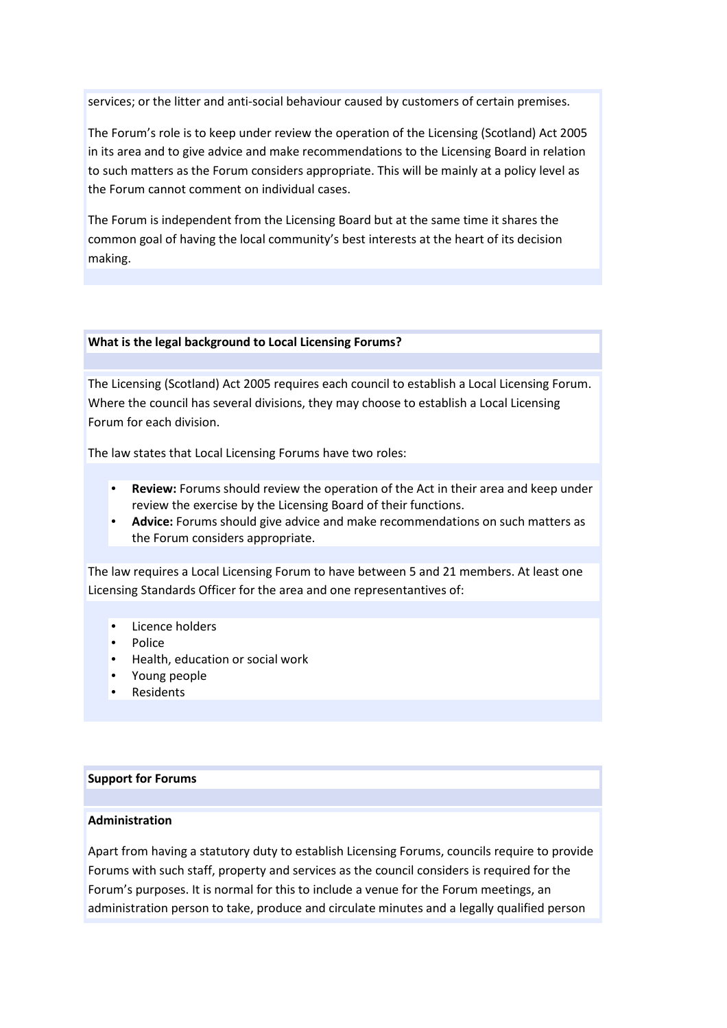services; or the litter and anti-social behaviour caused by customers of certain premises.

The Forum's role is to keep under review the operation of the Licensing (Scotland) Act 2005 in its area and to give advice and make recommendations to the Licensing Board in relation to such matters as the Forum considers appropriate. This will be mainly at a policy level as the Forum cannot comment on individual cases.

The Forum is independent from the Licensing Board but at the same time it shares the common goal of having the local community's best interests at the heart of its decision making.

# What is the legal background to Local Licensing Forums?

The Licensing (Scotland) Act 2005 requires each council to establish a Local Licensing Forum. Where the council has several divisions, they may choose to establish a Local Licensing Forum for each division.

The law states that Local Licensing Forums have two roles:

- Review: Forums should review the operation of the Act in their area and keep under review the exercise by the Licensing Board of their functions.
- Advice: Forums should give advice and make recommendations on such matters as the Forum considers appropriate.

The law requires a Local Licensing Forum to have between 5 and 21 members. At least one Licensing Standards Officer for the area and one representantives of:

- Licence holders
- Police
- Health, education or social work
- Young people
- Residents

# Support for Forums

# Administration

Apart from having a statutory duty to establish Licensing Forums, councils require to provide Forums with such staff, property and services as the council considers is required for the Forum's purposes. It is normal for this to include a venue for the Forum meetings, an administration person to take, produce and circulate minutes and a legally qualified person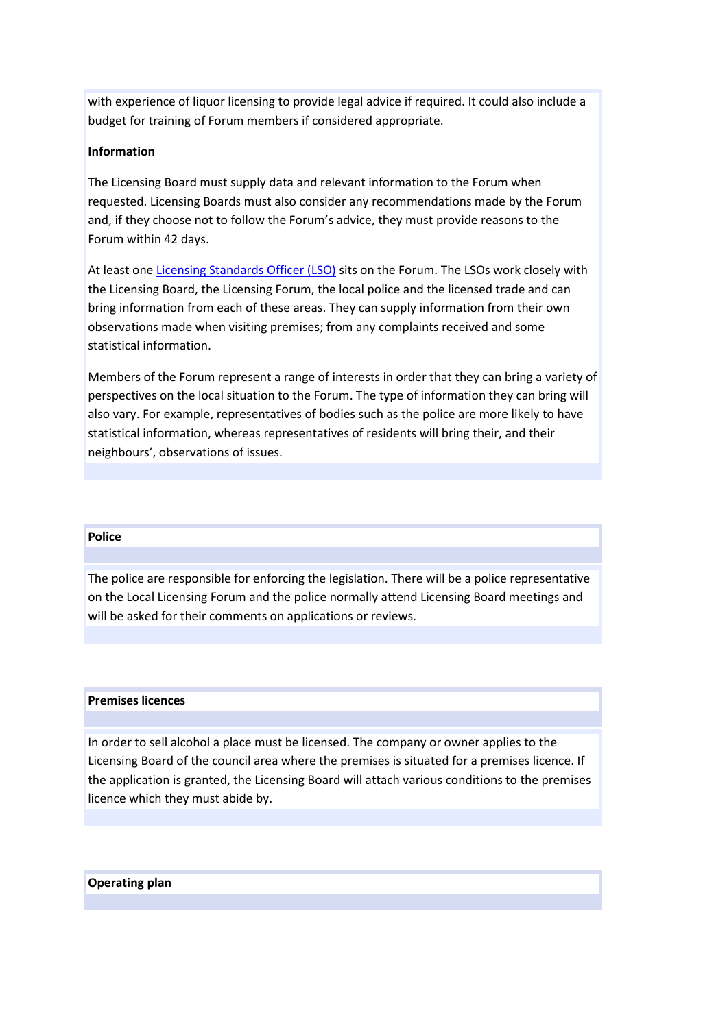with experience of liquor licensing to provide legal advice if required. It could also include a budget for training of Forum members if considered appropriate.

# Information

The Licensing Board must supply data and relevant information to the Forum when requested. Licensing Boards must also consider any recommendations made by the Forum and, if they choose not to follow the Forum's advice, they must provide reasons to the Forum within 42 days.

At least one Licensing Standards Officer (LSO) sits on the Forum. The LSOs work closely with the Licensing Board, the Licensing Forum, the local police and the licensed trade and can bring information from each of these areas. They can supply information from their own observations made when visiting premises; from any complaints received and some statistical information.

Members of the Forum represent a range of interests in order that they can bring a variety of perspectives on the local situation to the Forum. The type of information they can bring will also vary. For example, representatives of bodies such as the police are more likely to have statistical information, whereas representatives of residents will bring their, and their neighbours', observations of issues.

### Police

The police are responsible for enforcing the legislation. There will be a police representative on the Local Licensing Forum and the police normally attend Licensing Board meetings and will be asked for their comments on applications or reviews.

# Premises licences

In order to sell alcohol a place must be licensed. The company or owner applies to the Licensing Board of the council area where the premises is situated for a premises licence. If the application is granted, the Licensing Board will attach various conditions to the premises licence which they must abide by.

# Operating plan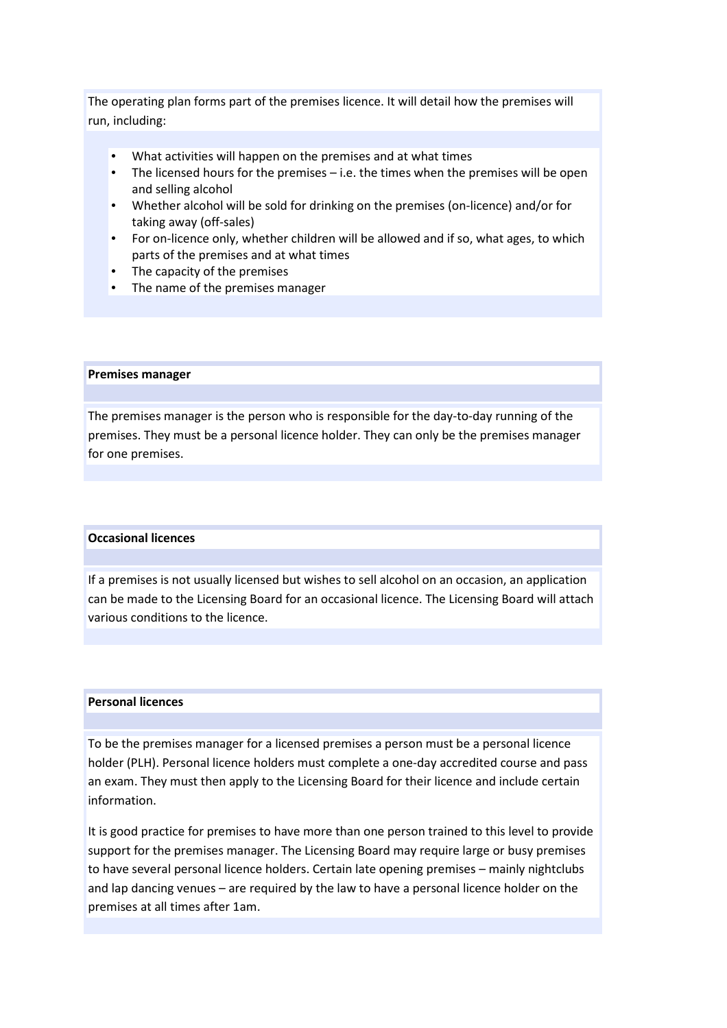The operating plan forms part of the premises licence. It will detail how the premises will run, including:

- What activities will happen on the premises and at what times
- The licensed hours for the premises i.e. the times when the premises will be open and selling alcohol
- Whether alcohol will be sold for drinking on the premises (on-licence) and/or for taking away (off-sales)
- For on-licence only, whether children will be allowed and if so, what ages, to which parts of the premises and at what times
- The capacity of the premises
- The name of the premises manager

#### Premises manager

The premises manager is the person who is responsible for the day-to-day running of the premises. They must be a personal licence holder. They can only be the premises manager for one premises.

#### Occasional licences

If a premises is not usually licensed but wishes to sell alcohol on an occasion, an application can be made to the Licensing Board for an occasional licence. The Licensing Board will attach various conditions to the licence.

# Personal licences

To be the premises manager for a licensed premises a person must be a personal licence holder (PLH). Personal licence holders must complete a one-day accredited course and pass an exam. They must then apply to the Licensing Board for their licence and include certain information.

It is good practice for premises to have more than one person trained to this level to provide support for the premises manager. The Licensing Board may require large or busy premises to have several personal licence holders. Certain late opening premises – mainly nightclubs and lap dancing venues – are required by the law to have a personal licence holder on the premises at all times after 1am.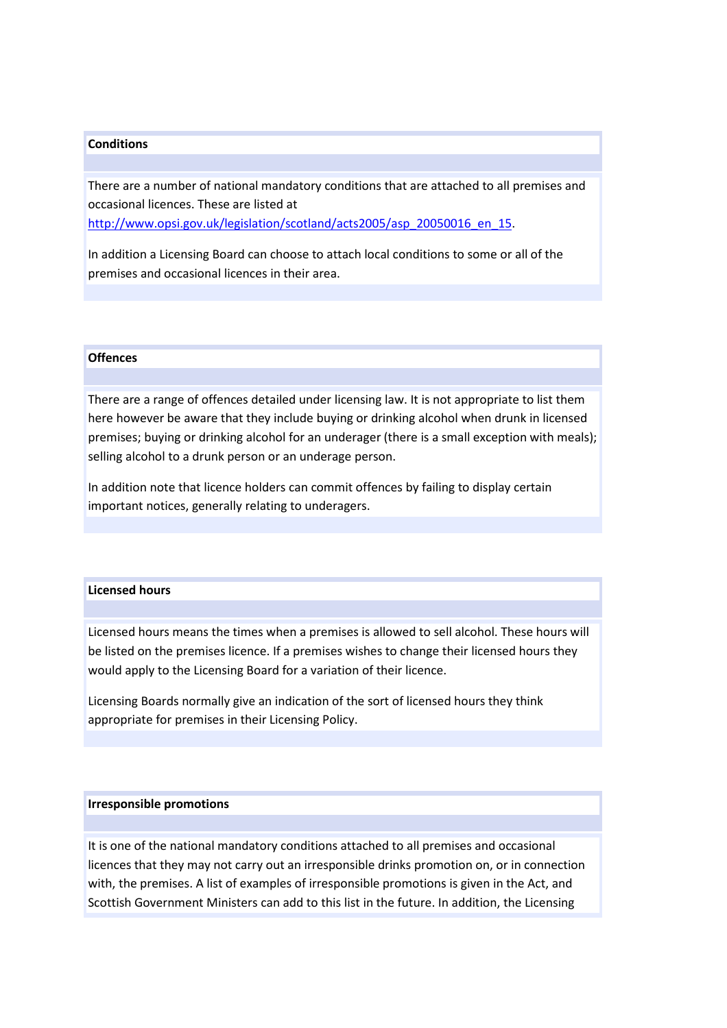# **Conditions**

There are a number of national mandatory conditions that are attached to all premises and occasional licences. These are listed at http://www.opsi.gov.uk/legislation/scotland/acts2005/asp\_20050016\_en\_15.

In addition a Licensing Board can choose to attach local conditions to some or all of the premises and occasional licences in their area.

### **Offences**

There are a range of offences detailed under licensing law. It is not appropriate to list them here however be aware that they include buying or drinking alcohol when drunk in licensed premises; buying or drinking alcohol for an underager (there is a small exception with meals); selling alcohol to a drunk person or an underage person.

In addition note that licence holders can commit offences by failing to display certain important notices, generally relating to underagers.

### Licensed hours

Licensed hours means the times when a premises is allowed to sell alcohol. These hours will be listed on the premises licence. If a premises wishes to change their licensed hours they would apply to the Licensing Board for a variation of their licence.

Licensing Boards normally give an indication of the sort of licensed hours they think appropriate for premises in their Licensing Policy.

### Irresponsible promotions

It is one of the national mandatory conditions attached to all premises and occasional licences that they may not carry out an irresponsible drinks promotion on, or in connection with, the premises. A list of examples of irresponsible promotions is given in the Act, and Scottish Government Ministers can add to this list in the future. In addition, the Licensing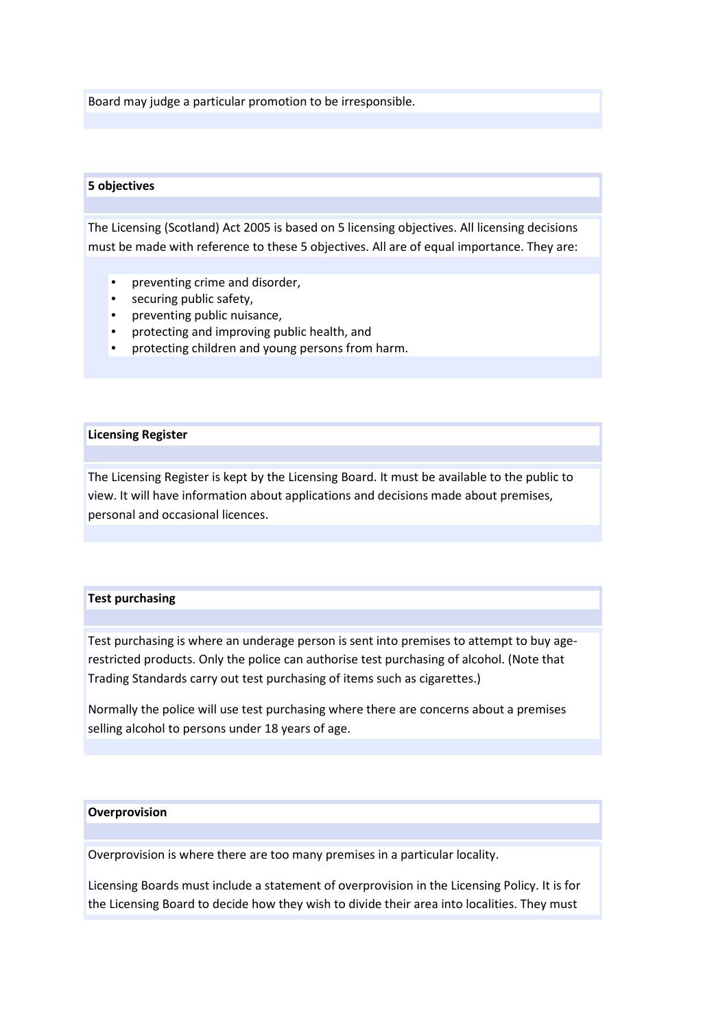Board may judge a particular promotion to be irresponsible.

### 5 objectives

The Licensing (Scotland) Act 2005 is based on 5 licensing objectives. All licensing decisions must be made with reference to these 5 objectives. All are of equal importance. They are:

- preventing crime and disorder,
- securing public safety,
- preventing public nuisance,
- protecting and improving public health, and
- protecting children and young persons from harm.

## Licensing Register

The Licensing Register is kept by the Licensing Board. It must be available to the public to view. It will have information about applications and decisions made about premises, personal and occasional licences.

#### Test purchasing

Test purchasing is where an underage person is sent into premises to attempt to buy agerestricted products. Only the police can authorise test purchasing of alcohol. (Note that Trading Standards carry out test purchasing of items such as cigarettes.)

Normally the police will use test purchasing where there are concerns about a premises selling alcohol to persons under 18 years of age.

#### **Overprovision**

Overprovision is where there are too many premises in a particular locality.

Licensing Boards must include a statement of overprovision in the Licensing Policy. It is for the Licensing Board to decide how they wish to divide their area into localities. They must